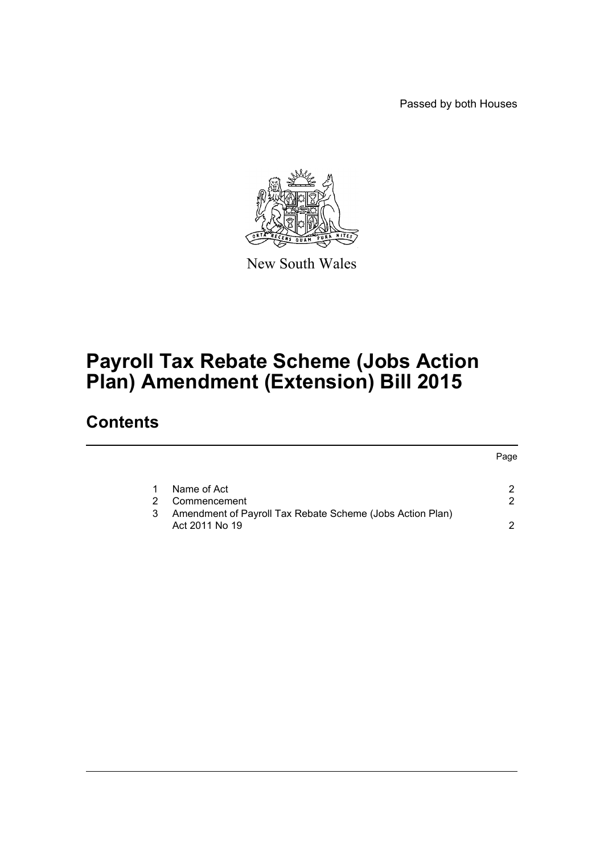Passed by both Houses



New South Wales

# **Payroll Tax Rebate Scheme (Jobs Action Plan) Amendment (Extension) Bill 2015**

## **Contents**

|                                                                | Page |
|----------------------------------------------------------------|------|
|                                                                |      |
| Name of Act                                                    |      |
| Commencement<br>2.                                             | 2    |
| Amendment of Payroll Tax Rebate Scheme (Jobs Action Plan)<br>3 |      |
| Act 2011 No 19                                                 | ົ    |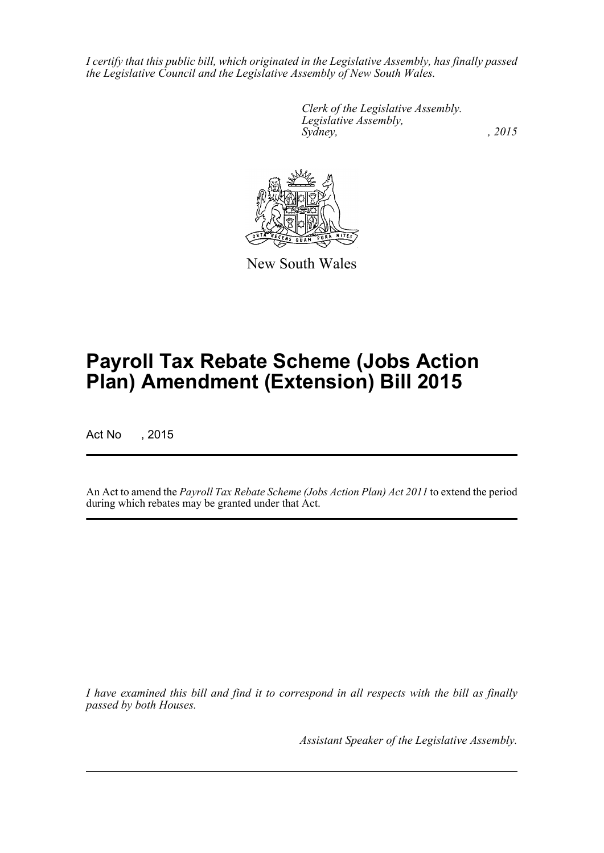*I certify that this public bill, which originated in the Legislative Assembly, has finally passed the Legislative Council and the Legislative Assembly of New South Wales.*

> *Clerk of the Legislative Assembly. Legislative Assembly, Sydney,* , 2015



New South Wales

# **Payroll Tax Rebate Scheme (Jobs Action Plan) Amendment (Extension) Bill 2015**

Act No , 2015

An Act to amend the *Payroll Tax Rebate Scheme (Jobs Action Plan) Act 2011* to extend the period during which rebates may be granted under that Act.

*I have examined this bill and find it to correspond in all respects with the bill as finally passed by both Houses.*

*Assistant Speaker of the Legislative Assembly.*